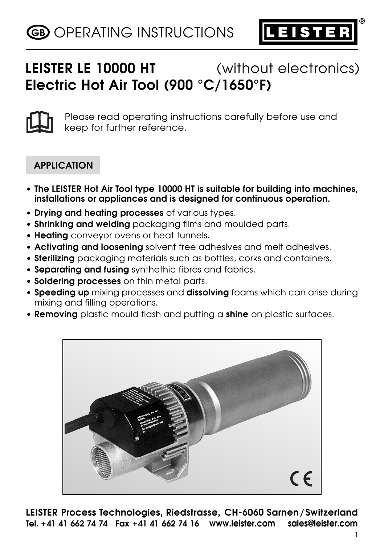

**®**

# **LEISTER LE 10000 HT** (without electronics) **Electric Hot Air Tool (900 °C/1650°F)**



Please read operating instructions carefully before use and keep for further reference.

# **APPLICATION**

- **The LEISTER Hot Air Tool type 10000 HT is suitable for building into machines, installations or appliances and is designed for continuous operation.**
- **Drying and heating processes** of various types.
- **Shrinking and welding** packaging films and moulded parts.
- **Heating** conveyor ovens or heat tunnels.
- **Activating and loosening** solvent free adhesives and melt adhesives.
- **Sterilizing** packaging materials such as bottles, corks and containers.
- **Separating and fusing** synthethic fibres and fabrics.
- **Soldering processes** on thin metal parts.
- **Speeding up** mixing processes and **dissolving** foams which can arise during mixing and filling operations.
- **Removing** plastic mould flash and putting a **shine** on plastic surfaces.



**LEISTER Process Technologies, Riedstrasse, CH-6060 Sarnen/Switzerland Tel. +41 41 662 74 74 Fax +41 41 662 74 16 www.leister.com sales@leister.com**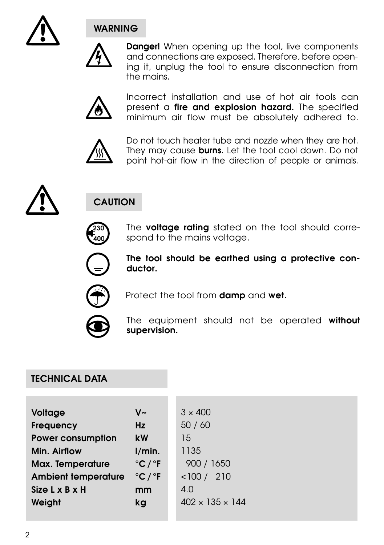

# **WARNING**



**Danger!** When opening up the tool, live components and connections are exposed. Therefore, before opening it, unplug the tool to ensure disconnection from the mains.



Incorrect installation and use of hot air tools can present a **fire and explosion hazard.** The specified minimum air flow must be absolutely adhered to.



Do not touch heater tube and nozzle when they are hot. They may cause **burns**. Let the tool cool down. Do not point hot-air flow in the direction of people or animals.



# **CAUTION**



The **voltage rating** stated on the tool should correspond to the mains voltage.



**The tool should be earthed using a protective conductor.**



Protect the tool from **damp** and **wet.**



The equipment should not be operated **without supervision.**

# **TECHNICAL DATA**

| Voltage                    | $V_{\rm \sim}$              | $3 \times 400$              |
|----------------------------|-----------------------------|-----------------------------|
| <b>Frequency</b>           | Hz                          | 50/60                       |
| <b>Power consumption</b>   | <b>kW</b>                   | 15                          |
| Min. Airflow               | 1/min.                      | 1135                        |
| Max. Temperature           | $^{\circ}$ C/ $^{\circ}$ F  | 900 / 1650                  |
| <b>Ambient temperature</b> | $^{\circ}$ C / $^{\circ}$ F | 210<br>< 100 /              |
| Size L x B x H             | mm                          | 4.0                         |
| Weight                     | kg                          | $402 \times 135 \times 144$ |
|                            |                             |                             |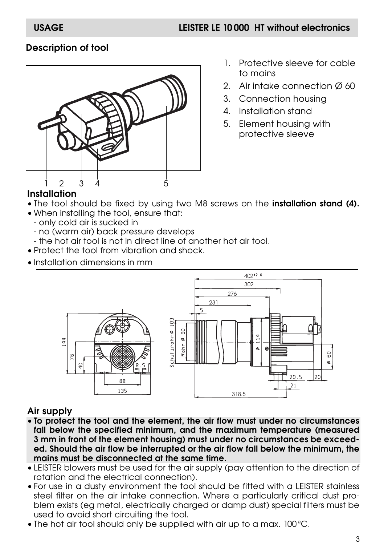# **Description of tool**



- 1. Protective sleeve for cable to mains
- 2. Air intake connection Ø 60
- 3. Connection housing
- 4. Installation stand
- 5. Element housing with protective sleeve

#### **Installation**

- The tool should be fixed by using two M8 screws on the **installation stand (4).**
- When installing the tool, ensure that:
	- only cold air is sucked in
	- no (warm air) back pressure develops
	- the hot air tool is not in direct line of another hot air tool.
- Protect the tool from vibration and shock.
- Installation dimensions in mm



# **Air supply**

- **To protect the tool and the element, the air flow must under no circumstances fall below the specified minimum, and the maximum temperature (measured 3 mm in front of the element housing) must under no circumstances be exceeded. Should the air flow be interrupted or the air flow fall below the minimum, the mains must be disconnected at the same time.**
- LEISTER blowers must be used for the air supply (pay attention to the direction of rotation and the electrical connection).
- For use in a dusty environment the tool should be fitted with a LEISTER stainless steel filter on the air intake connection. Where a particularly critical dust problem exists (eg metal, electrically charged or damp dust) special filters must be used to avoid short circuiting the tool.
- The hot air tool should only be supplied with air up to a max. 100ºC.